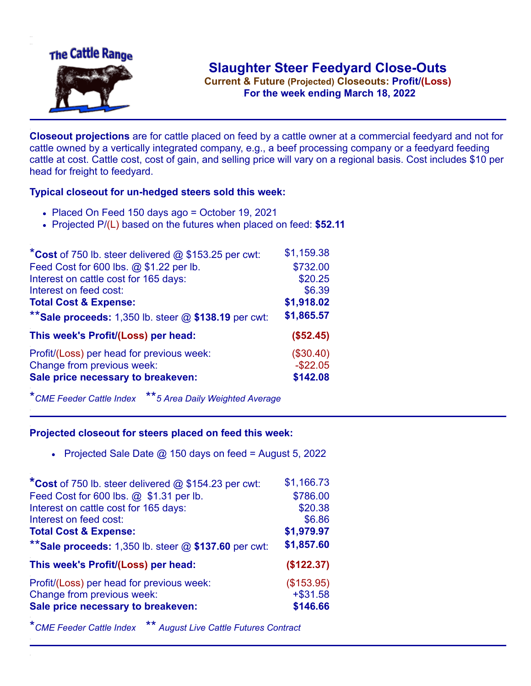

**Current & Future (Projected) Closeouts: Profit/(Loss)** .**For the week ending March 18, 2022**

**Closeout projections** are for cattle placed on feed by a cattle owner at a commercial feedyard and not for cattle owned by a vertically integrated company, e.g., a beef processing company or a feedyard feeding cattle at cost. Cattle cost, cost of gain, and selling price will vary on a regional basis. Cost includes \$10 per head for freight to feedyard.

## **Typical closeout for un-hedged steers sold this week:**

- Placed On Feed 150 days ago = October 19, 2021
- Projected P/(L) based on the futures when placed on feed: **\$52.11**

| *Cost of 750 lb. steer delivered $@$ \$153.25 per cwt:  | \$1,159.38  |
|---------------------------------------------------------|-------------|
| Feed Cost for 600 lbs. @ \$1.22 per lb.                 | \$732.00    |
| Interest on cattle cost for 165 days:                   | \$20.25     |
| Interest on feed cost:                                  | \$6.39      |
| <b>Total Cost &amp; Expense:</b>                        | \$1,918.02  |
| ** Sale proceeds: 1,350 lb. steer $@$ \$138.19 per cwt: | \$1,865.57  |
| This week's Profit/(Loss) per head:                     | (\$52.45)   |
| Profit/(Loss) per head for previous week:               | (\$30.40)   |
| Change from previous week:                              | $-$ \$22.05 |
| Sale price necessary to breakeven:                      | \$142.08    |

\**CME Feeder Cattle Index* \*\**5 Area Daily Weighted Average*

## **Projected closeout for steers placed on feed this week:**

Projected Sale Date  $@$  150 days on feed = August 5, 2022

| *Cost of 750 lb. steer delivered @ \$154.23 per cwt:    | \$1,166.73 |
|---------------------------------------------------------|------------|
| Feed Cost for 600 lbs. @ \$1.31 per lb.                 | \$786.00   |
| Interest on cattle cost for 165 days:                   | \$20.38    |
| Interest on feed cost:                                  | \$6.86     |
| <b>Total Cost &amp; Expense:</b>                        | \$1,979.97 |
| ** Sale proceeds: 1,350 lb. steer $@$ \$137.60 per cwt: | \$1,857.60 |
| This week's Profit/(Loss) per head:                     | (\$122.37) |
| Profit/(Loss) per head for previous week:               | (\$153.95) |
| Change from previous week:                              | $+ $31.58$ |
| Sale price necessary to breakeven:                      | \$146.66   |
|                                                         |            |

\**CME Feeder Cattle Index* \*\* *August Live Cattle Futures Contract*